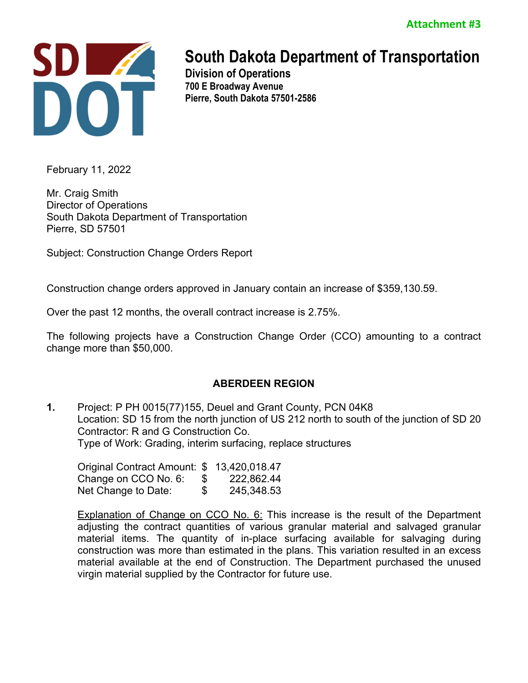

# **South Dakota Department of Transportation**

**Division of Operations 700 E Broadway Avenue Pierre, South Dakota 57501-2586** 

February 11, 2022

Mr. Craig Smith Director of Operations South Dakota Department of Transportation Pierre, SD 57501

Subject: Construction Change Orders Report

Construction change orders approved in January contain an increase of \$359,130.59.

Over the past 12 months, the overall contract increase is 2.75%.

The following projects have a Construction Change Order (CCO) amounting to a contract change more than \$50,000.

# **ABERDEEN REGION**

**1.** Project: P PH 0015(77)155, Deuel and Grant County, PCN 04K8 Location: SD 15 from the north junction of US 212 north to south of the junction of SD 20 Contractor: R and G Construction Co. Type of Work: Grading, interim surfacing, replace structures

| Original Contract Amount: \$ 13,420,018.47 |    |            |
|--------------------------------------------|----|------------|
| Change on CCO No. 6:                       | -5 | 222,862.44 |
| Net Change to Date:                        | \$ | 245,348.53 |

**Explanation of Change on CCO No. 6:** This increase is the result of the Department adjusting the contract quantities of various granular material and salvaged granular material items. The quantity of in-place surfacing available for salvaging during construction was more than estimated in the plans. This variation resulted in an excess material available at the end of Construction. The Department purchased the unused virgin material supplied by the Contractor for future use.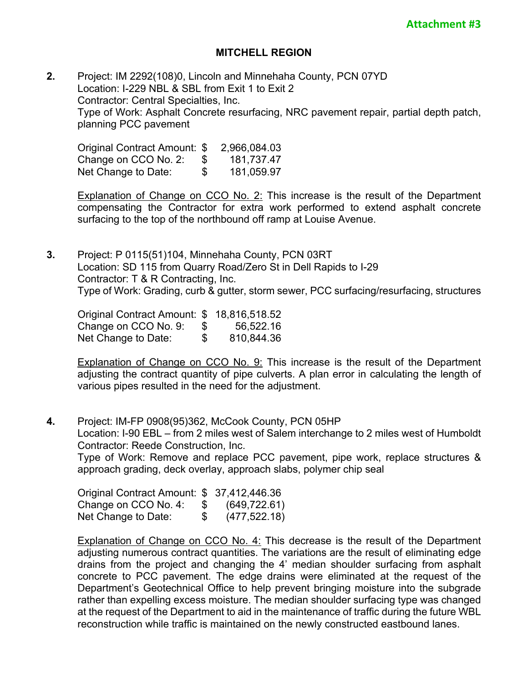#### **MITCHELL REGION**

**2.** Project: IM 2292(108)0, Lincoln and Minnehaha County, PCN 07YD Location: I-229 NBL & SBL from Exit 1 to Exit 2 Contractor: Central Specialties, Inc. Type of Work: Asphalt Concrete resurfacing, NRC pavement repair, partial depth patch, planning PCC pavement

Original Contract Amount: \$ 2,966,084.03 Change on CCO No. 2: \$ 181,737.47 Net Change to Date: \$ 181,059.97

Explanation of Change on CCO No. 2: This increase is the result of the Department compensating the Contractor for extra work performed to extend asphalt concrete surfacing to the top of the northbound off ramp at Louise Avenue.

**3.** Project: P 0115(51)104, Minnehaha County, PCN 03RT Location: SD 115 from Quarry Road/Zero St in Dell Rapids to I-29 Contractor: T & R Contracting, Inc. Type of Work: Grading, curb & gutter, storm sewer, PCC surfacing/resurfacing, structures

Original Contract Amount: \$ 18,816,518.52 Change on CCO No. 9: \$ 56,522.16 Net Change to Date:  $$810,844.36$ 

Explanation of Change on CCO No. 9: This increase is the result of the Department adjusting the contract quantity of pipe culverts. A plan error in calculating the length of various pipes resulted in the need for the adjustment.

**4.** Project: IM-FP 0908(95)362, McCook County, PCN 05HP Location: I-90 EBL – from 2 miles west of Salem interchange to 2 miles west of Humboldt Contractor: Reede Construction, Inc.

Type of Work: Remove and replace PCC pavement, pipe work, replace structures & approach grading, deck overlay, approach slabs, polymer chip seal

| Original Contract Amount: \$ 37,412,446.36 |               |               |
|--------------------------------------------|---------------|---------------|
| Change on CCO No. 4:                       | $\mathcal{P}$ | (649, 722.61) |
| Net Change to Date:                        | \$            | (477, 522.18) |

Explanation of Change on CCO No. 4: This decrease is the result of the Department adjusting numerous contract quantities. The variations are the result of eliminating edge drains from the project and changing the 4' median shoulder surfacing from asphalt concrete to PCC pavement. The edge drains were eliminated at the request of the Department's Geotechnical Office to help prevent bringing moisture into the subgrade rather than expelling excess moisture. The median shoulder surfacing type was changed at the request of the Department to aid in the maintenance of traffic during the future WBL reconstruction while traffic is maintained on the newly constructed eastbound lanes.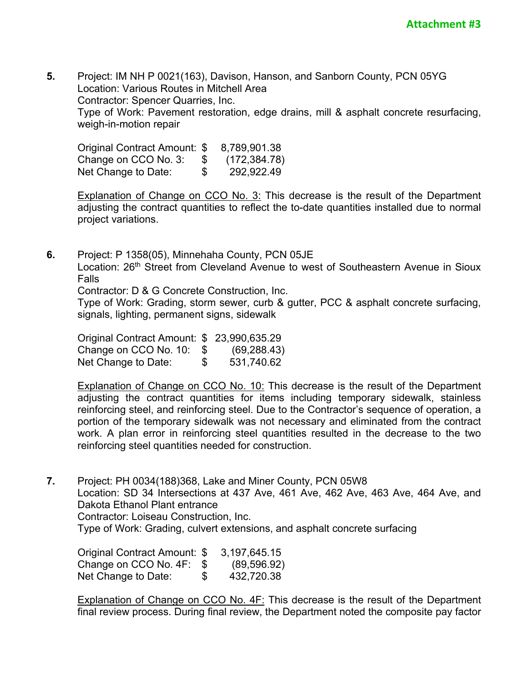**5.** Project: IM NH P 0021(163), Davison, Hanson, and Sanborn County, PCN 05YG Location: Various Routes in Mitchell Area Contractor: Spencer Quarries, Inc. Type of Work: Pavement restoration, edge drains, mill & asphalt concrete resurfacing, weigh-in-motion repair

Original Contract Amount: \$ 8,789,901.38 Change on CCO No. 3: \$ (172,384.78) Net Change to Date:  $$ 292,922.49$ 

**Explanation of Change on CCO No. 3: This decrease is the result of the Department** adjusting the contract quantities to reflect the to-date quantities installed due to normal project variations.

**6.** Project: P 1358(05), Minnehaha County, PCN 05JE Location: 26<sup>th</sup> Street from Cleveland Avenue to west of Southeastern Avenue in Sioux Falls

Contractor: D & G Concrete Construction, Inc.

Type of Work: Grading, storm sewer, curb & gutter, PCC & asphalt concrete surfacing, signals, lighting, permanent signs, sidewalk

Original Contract Amount: \$ 23,990,635.29 Change on CCO No. 10: \$ (69,288.43) Net Change to Date:  $$531,740.62$ 

Explanation of Change on CCO No. 10: This decrease is the result of the Department adjusting the contract quantities for items including temporary sidewalk, stainless reinforcing steel, and reinforcing steel. Due to the Contractor's sequence of operation, a portion of the temporary sidewalk was not necessary and eliminated from the contract work. A plan error in reinforcing steel quantities resulted in the decrease to the two reinforcing steel quantities needed for construction.

**7.** Project: PH 0034(188)368, Lake and Miner County, PCN 05W8 Location: SD 34 Intersections at 437 Ave, 461 Ave, 462 Ave, 463 Ave, 464 Ave, and Dakota Ethanol Plant entrance Contractor: Loiseau Construction, Inc. Type of Work: Grading, culvert extensions, and asphalt concrete surfacing

Original Contract Amount: \$ 3,197,645.15 Change on CCO No. 4F: \$ (89,596.92) Net Change to Date:  $$ 432,720.38$ 

Explanation of Change on CCO No. 4F: This decrease is the result of the Department final review process. During final review, the Department noted the composite pay factor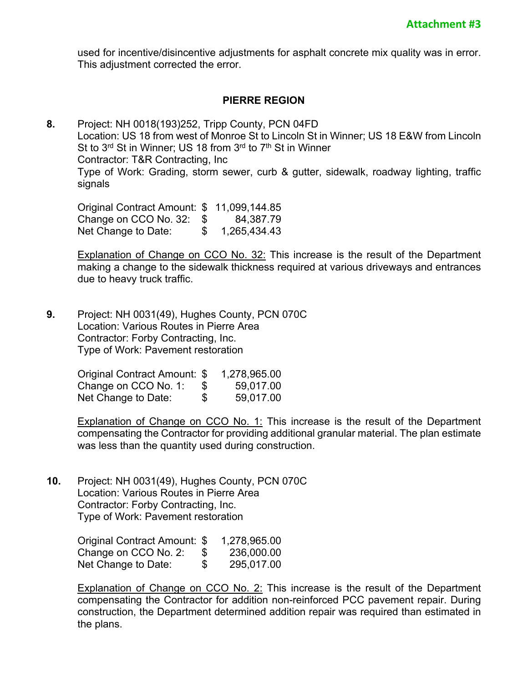used for incentive/disincentive adjustments for asphalt concrete mix quality was in error. This adjustment corrected the error.

## **PIERRE REGION**

**8.** Project: NH 0018(193)252, Tripp County, PCN 04FD Location: US 18 from west of Monroe St to Lincoln St in Winner; US 18 E&W from Lincoln St to 3<sup>rd</sup> St in Winner; US 18 from 3<sup>rd</sup> to 7<sup>th</sup> St in Winner Contractor: T&R Contracting, Inc Type of Work: Grading, storm sewer, curb & gutter, sidewalk, roadway lighting, traffic signals

Original Contract Amount: \$ 11,099,144.85 Change on CCO No. 32: \$ 84,387.79 Net Change to Date: \$ 1,265,434.43

**Explanation of Change on CCO No. 32: This increase is the result of the Department** making a change to the sidewalk thickness required at various driveways and entrances due to heavy truck traffic.

**9.** Project: NH 0031(49), Hughes County, PCN 070C Location: Various Routes in Pierre Area Contractor: Forby Contracting, Inc. Type of Work: Pavement restoration

| Original Contract Amount: \$ |      | 1,278,965.00 |
|------------------------------|------|--------------|
| Change on CCO No. 1:         | - 96 | 59,017.00    |
| Net Change to Date:          | \$   | 59,017.00    |

Explanation of Change on CCO No. 1: This increase is the result of the Department compensating the Contractor for providing additional granular material. The plan estimate was less than the quantity used during construction.

**10.** Project: NH 0031(49), Hughes County, PCN 070C Location: Various Routes in Pierre Area Contractor: Forby Contracting, Inc. Type of Work: Pavement restoration

> Original Contract Amount: \$ 1,278,965.00 Change on CCO No. 2: \$ 236,000.00 Net Change to Date: \$ 295,017.00

Explanation of Change on CCO No. 2: This increase is the result of the Department compensating the Contractor for addition non-reinforced PCC pavement repair. During construction, the Department determined addition repair was required than estimated in the plans.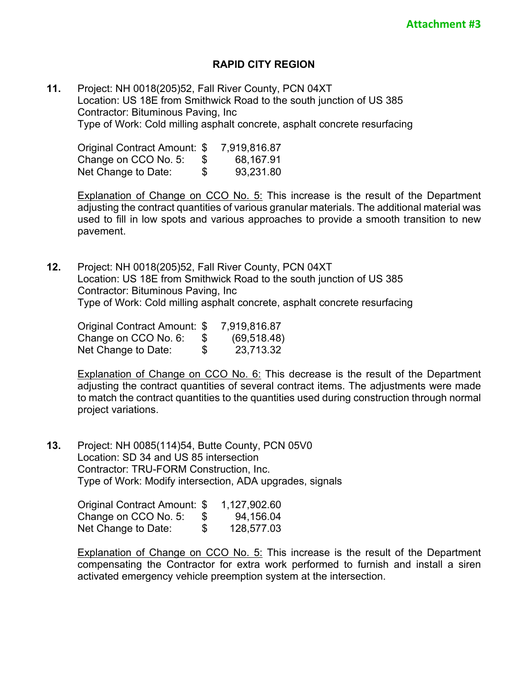## **RAPID CITY REGION**

**11.** Project: NH 0018(205)52, Fall River County, PCN 04XT Location: US 18E from Smithwick Road to the south junction of US 385 Contractor: Bituminous Paving, Inc Type of Work: Cold milling asphalt concrete, asphalt concrete resurfacing

Original Contract Amount: \$ 7,919,816.87 Change on CCO No. 5: \$ 68,167.91 Net Change to Date:  $$ 93,231.80$ 

Explanation of Change on CCO No. 5: This increase is the result of the Department adjusting the contract quantities of various granular materials. The additional material was used to fill in low spots and various approaches to provide a smooth transition to new pavement.

**12.** Project: NH 0018(205)52, Fall River County, PCN 04XT Location: US 18E from Smithwick Road to the south junction of US 385 Contractor: Bituminous Paving, Inc Type of Work: Cold milling asphalt concrete, asphalt concrete resurfacing

| Original Contract Amount: \$ |    | 7,919,816.87 |
|------------------------------|----|--------------|
| Change on CCO No. 6:         | æ. | (69, 518.48) |
| Net Change to Date:          | \$ | 23,713.32    |

**Explanation of Change on CCO No. 6:** This decrease is the result of the Department adjusting the contract quantities of several contract items. The adjustments were made to match the contract quantities to the quantities used during construction through normal project variations.

**13.** Project: NH 0085(114)54, Butte County, PCN 05V0 Location: SD 34 and US 85 intersection Contractor: TRU-FORM Construction, Inc. Type of Work: Modify intersection, ADA upgrades, signals

> Original Contract Amount: \$ 1,127,902.60 Change on CCO No. 5: \$ 94,156.04 Net Change to Date: \$ 128,577.03

Explanation of Change on CCO No. 5: This increase is the result of the Department compensating the Contractor for extra work performed to furnish and install a siren activated emergency vehicle preemption system at the intersection.